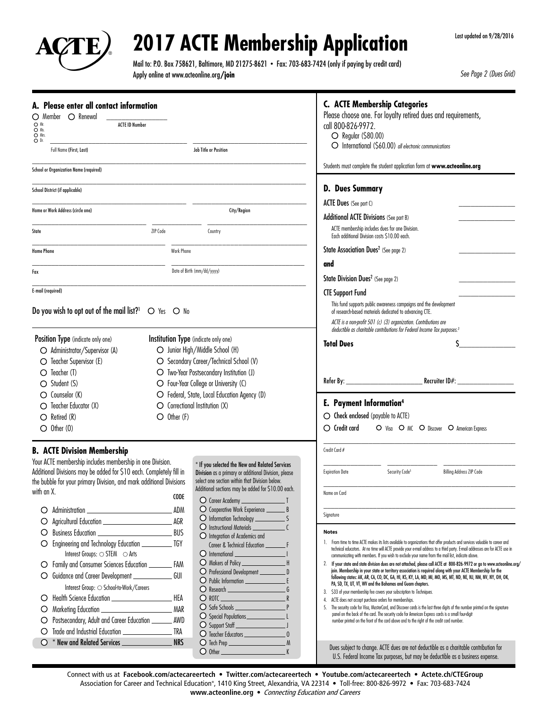

## **2017 ACTE Membership Application**

Mail to: P.O. Box 758621, Baltimore, MD 21275-8621 • Fax: 703-683-7424 (only if paying by credit card) Apply online at www.acteonline.org**/join**

*See Page 2 (Dues Grid)*

| A. Please enter all contact information                                                                                                    |               |                                                                                                        | <b>C. ACTE Membership Categories</b><br>Please choose one. For loyalty retired dues and requirements,                                                                                                                                                        |  |  |  |  |  |
|--------------------------------------------------------------------------------------------------------------------------------------------|---------------|--------------------------------------------------------------------------------------------------------|--------------------------------------------------------------------------------------------------------------------------------------------------------------------------------------------------------------------------------------------------------------|--|--|--|--|--|
| Member O Renewal<br>O<br>O Mr.<br><b>ACTE ID Number</b><br>O Ms.<br>O Mrs.<br>O <sub>0</sub>                                               |               |                                                                                                        | call 800-826-9972.<br>$\bigcirc$ Regular (\$80.00)<br>O International (\$60.00) all electronic communications                                                                                                                                                |  |  |  |  |  |
| Full Name (First, Last)                                                                                                                    |               | Job Title or Position                                                                                  |                                                                                                                                                                                                                                                              |  |  |  |  |  |
| <b>School or Organization Name (required)</b>                                                                                              |               |                                                                                                        | Students must complete the student application form at www.acteonline.org                                                                                                                                                                                    |  |  |  |  |  |
| School District (if applicable)                                                                                                            |               |                                                                                                        | <b>D. Dues Summary</b>                                                                                                                                                                                                                                       |  |  |  |  |  |
| Home or Work Address (circle one)                                                                                                          |               | City/Region                                                                                            | ACTE Dues (See part C)<br>Additional ACTE Divisions (See part B)<br>ACTE membership includes dues for one Division.                                                                                                                                          |  |  |  |  |  |
| State                                                                                                                                      | ZIP Code      | Country                                                                                                |                                                                                                                                                                                                                                                              |  |  |  |  |  |
| <b>Home Phone</b>                                                                                                                          |               | Work Phone                                                                                             | Each additional Division costs \$10.00 each.<br>State Association Dues <sup>2</sup> (See page 2)                                                                                                                                                             |  |  |  |  |  |
|                                                                                                                                            |               |                                                                                                        | and                                                                                                                                                                                                                                                          |  |  |  |  |  |
| Fax                                                                                                                                        |               | Date of Birth (mm/dd/yyyy)                                                                             | State Division Dues <sup>2</sup> (See page 2)                                                                                                                                                                                                                |  |  |  |  |  |
| E-mail (required)                                                                                                                          |               |                                                                                                        | <b>CTE Support Fund</b>                                                                                                                                                                                                                                      |  |  |  |  |  |
| Do you wish to opt out of the mail list? <sup>1</sup> $\circ$ Yes $\circ$ No                                                               |               |                                                                                                        | This fund supports public awareness campaigns and the development<br>of research-based materials dedicated to advancing CTE.                                                                                                                                 |  |  |  |  |  |
|                                                                                                                                            |               |                                                                                                        | ACTE is a non-profit 501 (c) (3) organization. Contributions are<br>deductible as charitable contributions for Federal Income Tax purposes. <sup>3</sup>                                                                                                     |  |  |  |  |  |
| Position Type (indicate only one)                                                                                                          |               | Institution Type (indicate only one)                                                                   | <b>Total Dues</b>                                                                                                                                                                                                                                            |  |  |  |  |  |
| O Administrator/Supervisor (A)                                                                                                             |               | O Junior High/Middle School (H)                                                                        |                                                                                                                                                                                                                                                              |  |  |  |  |  |
| $\bigcirc$ Teacher Supervisor (E)                                                                                                          |               | O Secondary Career/Technical School (V)                                                                |                                                                                                                                                                                                                                                              |  |  |  |  |  |
| $\bigcirc$ Teacher (T)                                                                                                                     |               | O Two-Year Postsecondary Institution (J)                                                               |                                                                                                                                                                                                                                                              |  |  |  |  |  |
| $\bigcirc$ Student (S)                                                                                                                     |               | O Four-Year College or University (C)                                                                  | Recruiter ID#:                                                                                                                                                                                                                                               |  |  |  |  |  |
| $\bigcirc$ Counselor (K)                                                                                                                   |               | O Federal, State, Local Education Agency (D)                                                           |                                                                                                                                                                                                                                                              |  |  |  |  |  |
| $\bigcirc$ Teacher Educator (X)                                                                                                            |               | O Correctional Institution (X)                                                                         | E. Payment Information <sup>4</sup>                                                                                                                                                                                                                          |  |  |  |  |  |
| $\bigcirc$ Retired (R)                                                                                                                     | $O$ Other (F) |                                                                                                        | $\bigcirc$ Check enclosed (payable to ACTE)                                                                                                                                                                                                                  |  |  |  |  |  |
| $\bigcirc$ Other (0)                                                                                                                       |               |                                                                                                        | $\bigcirc$ Credit card<br>O Visa O MC O Discover O American Express                                                                                                                                                                                          |  |  |  |  |  |
| <b>B. ACTE Division Membership</b>                                                                                                         |               |                                                                                                        | Credit Card #                                                                                                                                                                                                                                                |  |  |  |  |  |
| Your ACTE membership includes membership in one Division.                                                                                  |               | * If you selected the New and Related Services                                                         |                                                                                                                                                                                                                                                              |  |  |  |  |  |
| Additional Divisions may be added for \$10 each. Completely fill in<br>the bubble for your primary Division, and mark additional Divisions |               | Division as a primary or additional Division, please<br>select one section within that Division below. | Security Code <sup>5</sup><br>Billing Address ZIP Code<br><b>Expiration Date</b>                                                                                                                                                                             |  |  |  |  |  |
| with an X.                                                                                                                                 |               | Additional sections may be added for \$10.00 each.                                                     | Name on Card                                                                                                                                                                                                                                                 |  |  |  |  |  |
|                                                                                                                                            | <b>CODE</b>   | $\bigcirc$ Career Academy $\_\_$                                                                       |                                                                                                                                                                                                                                                              |  |  |  |  |  |
| Administration<br>O                                                                                                                        | . ADM         | O Cooperative Work Experience _________ B                                                              | Signature                                                                                                                                                                                                                                                    |  |  |  |  |  |
| O                                                                                                                                          | <b>AGR</b>    |                                                                                                        |                                                                                                                                                                                                                                                              |  |  |  |  |  |
| O                                                                                                                                          | <b>BUS</b>    | O Integration of Academics and                                                                         | <b>Notes</b>                                                                                                                                                                                                                                                 |  |  |  |  |  |
|                                                                                                                                            |               |                                                                                                        | 1. From time to time ACTE makes its lists available to organizations that offer products and services valuable to career and<br>technical educators. At no time will ACTE provide your e-mail address to a third party. E-mail addresses are for ACTE use in |  |  |  |  |  |
| Interest Groups: $\bigcirc$ STEM $\bigcirc$ Arts                                                                                           |               | O International                                                                                        | communicating with members. If you wish to exclude your name from the mail list, indicate above.                                                                                                                                                             |  |  |  |  |  |
| Family and Consumer Sciences Education ___________ FAM<br>O.                                                                               |               | O Professional Development ____________ D                                                              | If your state and state division dues are not attached, please call ACTE at 800-826-9972 or go to www.acteonline.org/<br>2.<br>join. Membership in your state or territory association is required along with your ACTE Membership for the                   |  |  |  |  |  |
| Guidance and Career Development _____________                                                                                              | GUI           |                                                                                                        | following states: AK, AR, CA, CO, DC, GA, HI, KS, KY, LA, MD, MI, MO, MS, MT, ND, NE, NJ, NM, NV, NY, OH, OK,                                                                                                                                                |  |  |  |  |  |
| Interest Group: O School-to-Work/Careers                                                                                                   |               | O Research                                                                                             | PA, SD, TX, UT, VT, WV and the Bahamas and Guam chapters.<br>\$33 of your membership fee covers your subscription to Techniques.<br>3.                                                                                                                       |  |  |  |  |  |
| O                                                                                                                                          | HEA           | $O$ rotc                                                                                               | ACTE does not accept purchase orders for memberships.<br>4.                                                                                                                                                                                                  |  |  |  |  |  |
| O                                                                                                                                          | . MAR         | O Special Populations ___________________L                                                             | The security code for Visa, MasterCard, and Discover cards is the last three digits of the number printed on the signature<br>5.<br>panel on the back of the card. The security code for American Express cards is a small four-digit                        |  |  |  |  |  |
| Postsecondary, Adult and Career Education _________ AWD                                                                                    |               |                                                                                                        | number printed on the front of the card above and to the right of the credit card number.                                                                                                                                                                    |  |  |  |  |  |
|                                                                                                                                            |               |                                                                                                        |                                                                                                                                                                                                                                                              |  |  |  |  |  |
| * New and Related Services ________________<br>Ω.                                                                                          | <b>NRS</b>    |                                                                                                        | Dues subject to change. ACTE dues are not deductible as a charitable contribution for                                                                                                                                                                        |  |  |  |  |  |
|                                                                                                                                            |               | $O$ Other $K$                                                                                          | U.S. Federal Income Tax purposes, but may be deductible as a business expense.                                                                                                                                                                               |  |  |  |  |  |

Connect with us at **Facebook.com/actecareertech** • **Twitter.com/actecareertech** • **Youtube.com/actecareertech** • **Actete.ch/CTEGroup** Association for Career and Technical Education®, 1410 King Street, Alexandria, VA 22314 • Toll-free: 800-826-9972 • Fax: 703-683-7424 **www.acteonline.org** • Connecting Education and Careers